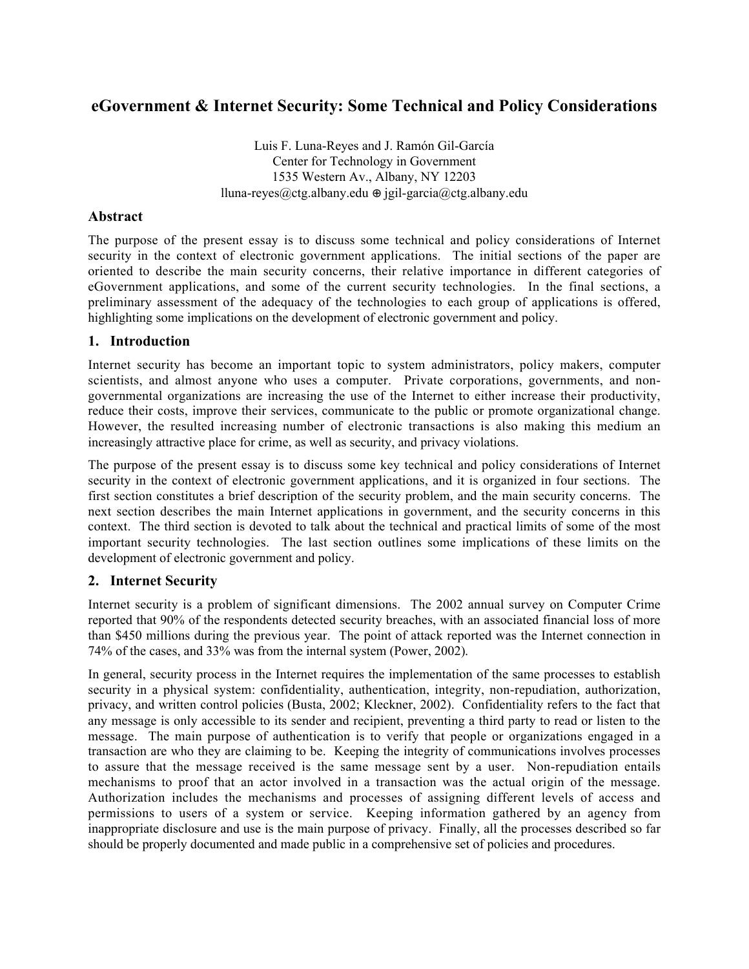# **eGovernment & Internet Security: Some Technical and Policy Considerations**

Luis F. Luna-Reyes and J. Ramón Gil-García Center for Technology in Government 1535 Western Av., Albany, NY 12203 lluna-reyes@ctg.albany.edu jgil-garcia@ctg.albany.edu

#### **Abstract**

The purpose of the present essay is to discuss some technical and policy considerations of Internet security in the context of electronic government applications. The initial sections of the paper are oriented to describe the main security concerns, their relative importance in different categories of eGovernment applications, and some of the current security technologies. In the final sections, a preliminary assessment of the adequacy of the technologies to each group of applications is offered, highlighting some implications on the development of electronic government and policy.

#### **1. Introduction**

Internet security has become an important topic to system administrators, policy makers, computer scientists, and almost anyone who uses a computer. Private corporations, governments, and nongovernmental organizations are increasing the use of the Internet to either increase their productivity, reduce their costs, improve their services, communicate to the public or promote organizational change. However, the resulted increasing number of electronic transactions is also making this medium an increasingly attractive place for crime, as well as security, and privacy violations.

The purpose of the present essay is to discuss some key technical and policy considerations of Internet security in the context of electronic government applications, and it is organized in four sections. The first section constitutes a brief description of the security problem, and the main security concerns. The next section describes the main Internet applications in government, and the security concerns in this context. The third section is devoted to talk about the technical and practical limits of some of the most important security technologies. The last section outlines some implications of these limits on the development of electronic government and policy.

### **2. Internet Security**

Internet security is a problem of significant dimensions. The 2002 annual survey on Computer Crime reported that 90% of the respondents detected security breaches, with an associated financial loss of more than \$450 millions during the previous year. The point of attack reported was the Internet connection in 74% of the cases, and 33% was from the internal system (Power, 2002).

In general, security process in the Internet requires the implementation of the same processes to establish security in a physical system: confidentiality, authentication, integrity, non-repudiation, authorization, privacy, and written control policies (Busta, 2002; Kleckner, 2002). Confidentiality refers to the fact that any message is only accessible to its sender and recipient, preventing a third party to read or listen to the message. The main purpose of authentication is to verify that people or organizations engaged in a transaction are who they are claiming to be. Keeping the integrity of communications involves processes to assure that the message received is the same message sent by a user. Non-repudiation entails mechanisms to proof that an actor involved in a transaction was the actual origin of the message. Authorization includes the mechanisms and processes of assigning different levels of access and permissions to users of a system or service. Keeping information gathered by an agency from inappropriate disclosure and use is the main purpose of privacy. Finally, all the processes described so far should be properly documented and made public in a comprehensive set of policies and procedures.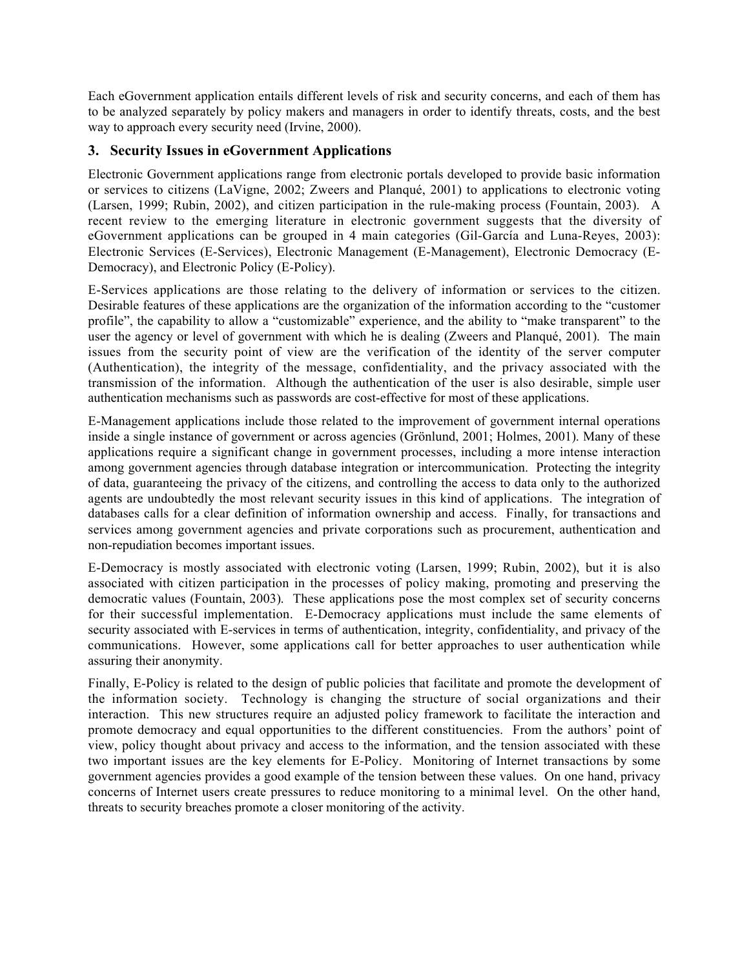Each eGovernment application entails different levels of risk and security concerns, and each of them has to be analyzed separately by policy makers and managers in order to identify threats, costs, and the best way to approach every security need (Irvine, 2000).

### **3. Security Issues in eGovernment Applications**

Electronic Government applications range from electronic portals developed to provide basic information or services to citizens (LaVigne, 2002; Zweers and Planqué, 2001) to applications to electronic voting (Larsen, 1999; Rubin, 2002), and citizen participation in the rule-making process (Fountain, 2003). A recent review to the emerging literature in electronic government suggests that the diversity of eGovernment applications can be grouped in 4 main categories (Gil-García and Luna-Reyes, 2003): Electronic Services (E-Services), Electronic Management (E-Management), Electronic Democracy (E-Democracy), and Electronic Policy (E-Policy).

E-Services applications are those relating to the delivery of information or services to the citizen. Desirable features of these applications are the organization of the information according to the "customer profile", the capability to allow a "customizable" experience, and the ability to "make transparent" to the user the agency or level of government with which he is dealing (Zweers and Planqué, 2001). The main issues from the security point of view are the verification of the identity of the server computer (Authentication), the integrity of the message, confidentiality, and the privacy associated with the transmission of the information. Although the authentication of the user is also desirable, simple user authentication mechanisms such as passwords are cost-effective for most of these applications.

E-Management applications include those related to the improvement of government internal operations inside a single instance of government or across agencies (Grönlund, 2001; Holmes, 2001). Many of these applications require a significant change in government processes, including a more intense interaction among government agencies through database integration or intercommunication. Protecting the integrity of data, guaranteeing the privacy of the citizens, and controlling the access to data only to the authorized agents are undoubtedly the most relevant security issues in this kind of applications. The integration of databases calls for a clear definition of information ownership and access. Finally, for transactions and services among government agencies and private corporations such as procurement, authentication and non-repudiation becomes important issues.

E-Democracy is mostly associated with electronic voting (Larsen, 1999; Rubin, 2002), but it is also associated with citizen participation in the processes of policy making, promoting and preserving the democratic values (Fountain, 2003). These applications pose the most complex set of security concerns for their successful implementation. E-Democracy applications must include the same elements of security associated with E-services in terms of authentication, integrity, confidentiality, and privacy of the communications. However, some applications call for better approaches to user authentication while assuring their anonymity.

Finally, E-Policy is related to the design of public policies that facilitate and promote the development of the information society. Technology is changing the structure of social organizations and their interaction. This new structures require an adjusted policy framework to facilitate the interaction and promote democracy and equal opportunities to the different constituencies. From the authors' point of view, policy thought about privacy and access to the information, and the tension associated with these two important issues are the key elements for E-Policy. Monitoring of Internet transactions by some government agencies provides a good example of the tension between these values. On one hand, privacy concerns of Internet users create pressures to reduce monitoring to a minimal level. On the other hand, threats to security breaches promote a closer monitoring of the activity.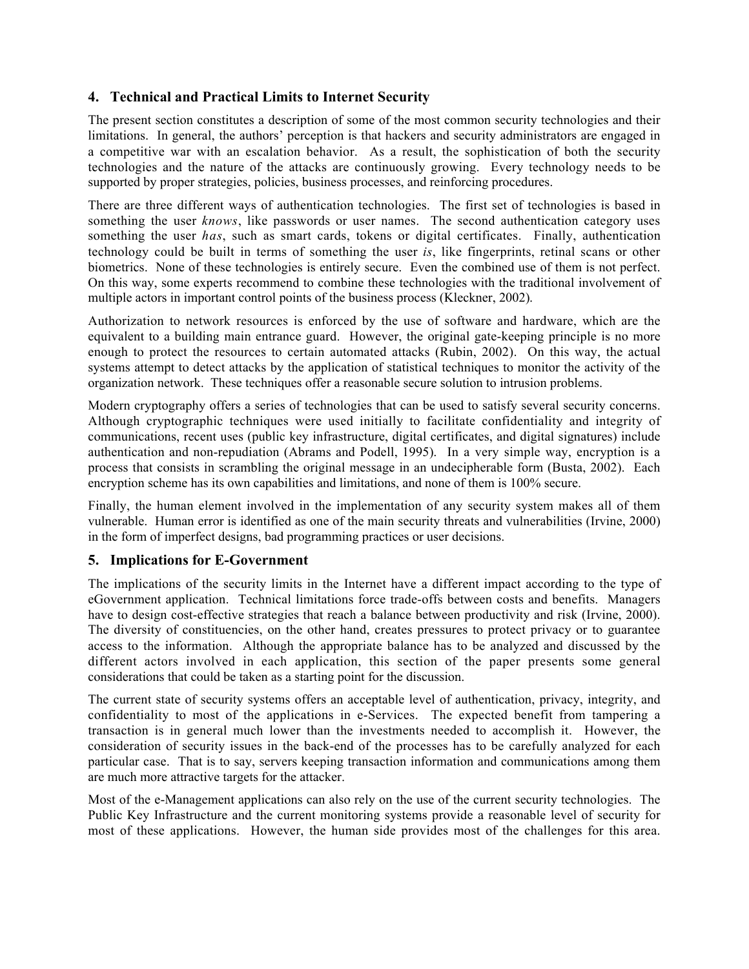## **4. Technical and Practical Limits to Internet Security**

The present section constitutes a description of some of the most common security technologies and their limitations. In general, the authors' perception is that hackers and security administrators are engaged in a competitive war with an escalation behavior. As a result, the sophistication of both the security technologies and the nature of the attacks are continuously growing. Every technology needs to be supported by proper strategies, policies, business processes, and reinforcing procedures.

There are three different ways of authentication technologies. The first set of technologies is based in something the user *knows*, like passwords or user names. The second authentication category uses something the user *has*, such as smart cards, tokens or digital certificates. Finally, authentication technology could be built in terms of something the user *is*, like fingerprints, retinal scans or other biometrics. None of these technologies is entirely secure. Even the combined use of them is not perfect. On this way, some experts recommend to combine these technologies with the traditional involvement of multiple actors in important control points of the business process (Kleckner, 2002).

Authorization to network resources is enforced by the use of software and hardware, which are the equivalent to a building main entrance guard. However, the original gate-keeping principle is no more enough to protect the resources to certain automated attacks (Rubin, 2002). On this way, the actual systems attempt to detect attacks by the application of statistical techniques to monitor the activity of the organization network. These techniques offer a reasonable secure solution to intrusion problems.

Modern cryptography offers a series of technologies that can be used to satisfy several security concerns. Although cryptographic techniques were used initially to facilitate confidentiality and integrity of communications, recent uses (public key infrastructure, digital certificates, and digital signatures) include authentication and non-repudiation (Abrams and Podell, 1995). In a very simple way, encryption is a process that consists in scrambling the original message in an undecipherable form (Busta, 2002). Each encryption scheme has its own capabilities and limitations, and none of them is 100% secure.

Finally, the human element involved in the implementation of any security system makes all of them vulnerable. Human error is identified as one of the main security threats and vulnerabilities (Irvine, 2000) in the form of imperfect designs, bad programming practices or user decisions.

### **5. Implications for E-Government**

The implications of the security limits in the Internet have a different impact according to the type of eGovernment application. Technical limitations force trade-offs between costs and benefits. Managers have to design cost-effective strategies that reach a balance between productivity and risk (Irvine, 2000). The diversity of constituencies, on the other hand, creates pressures to protect privacy or to guarantee access to the information. Although the appropriate balance has to be analyzed and discussed by the different actors involved in each application, this section of the paper presents some general considerations that could be taken as a starting point for the discussion.

The current state of security systems offers an acceptable level of authentication, privacy, integrity, and confidentiality to most of the applications in e-Services. The expected benefit from tampering a transaction is in general much lower than the investments needed to accomplish it. However, the consideration of security issues in the back-end of the processes has to be carefully analyzed for each particular case. That is to say, servers keeping transaction information and communications among them are much more attractive targets for the attacker.

Most of the e-Management applications can also rely on the use of the current security technologies. The Public Key Infrastructure and the current monitoring systems provide a reasonable level of security for most of these applications. However, the human side provides most of the challenges for this area.